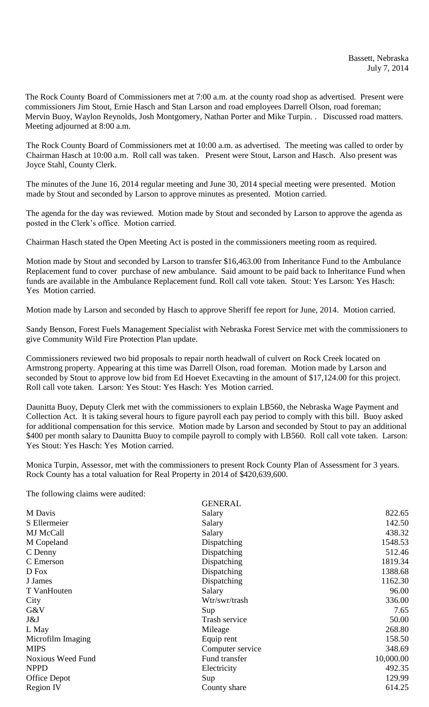The Rock County Board of Commissioners met at 7:00 a.m. at the county road shop as advertised. Present were commissioners Jim Stout, Ernie Hasch and Stan Larson and road employees Darrell Olson, road foreman; Mervin Buoy, Waylon Reynolds, Josh Montgomery, Nathan Porter and Mike Turpin. . Discussed road matters. Meeting adjourned at 8:00 a.m.

The Rock County Board of Commissioners met at 10:00 a.m. as advertised. The meeting was called to order by Chairman Hasch at 10:00 a.m. Roll call was taken. Present were Stout, Larson and Hasch. Also present was Joyce Stahl, County Clerk.

The minutes of the June 16, 2014 regular meeting and June 30, 2014 special meeting were presented. Motion made by Stout and seconded by Larson to approve minutes as presented. Motion carried.

The agenda for the day was reviewed. Motion made by Stout and seconded by Larson to approve the agenda as posted in the Clerk's office. Motion carried.

Chairman Hasch stated the Open Meeting Act is posted in the commissioners meeting room as required.

Motion made by Stout and seconded by Larson to transfer \$16,463.00 from Inheritance Fund to the Ambulance Replacement fund to cover purchase of new ambulance. Said amount to be paid back to Inheritance Fund when funds are available in the Ambulance Replacement fund. Roll call vote taken. Stout: Yes Larson: Yes Hasch: Yes Motion carried.

Motion made by Larson and seconded by Hasch to approve Sheriff fee report for June, 2014. Motion carried.

Sandy Benson, Forest Fuels Management Specialist with Nebraska Forest Service met with the commissioners to give Community Wild Fire Protection Plan update.

Commissioners reviewed two bid proposals to repair north headwall of culvert on Rock Creek located on Armstrong property. Appearing at this time was Darrell Olson, road foreman. Motion made by Larson and seconded by Stout to approve low bid from Ed Hoevet Execavting in the amount of \$17,124.00 for this project. Roll call vote taken. Larson: Yes Stout: Yes Hasch: Yes Motion carried.

Daunitta Buoy, Deputy Clerk met with the commissioners to explain LB560, the Nebraska Wage Payment and Collection Act. It is taking several hours to figure payroll each pay period to comply with this bill. Buoy asked for additional compensation for this service. Motion made by Larson and seconded by Stout to pay an additional \$400 per month salary to Daunitta Buoy to compile payroll to comply with LB560. Roll call vote taken. Larson: Yes Stout: Yes Hasch: Yes Motion carried.

Monica Turpin, Assessor, met with the commissioners to present Rock County Plan of Assessment for 3 years. Rock County has a total valuation for Real Property in 2014 of \$420,639,600.

The following claims were audited:

|                          | <b>GENERAL</b>   |           |
|--------------------------|------------------|-----------|
| M Davis                  | Salary           | 822.65    |
| S Ellermeier             | Salary           | 142.50    |
| <b>MJ</b> McCall         | Salary           | 438.32    |
| M Copeland               | Dispatching      | 1548.53   |
| C Denny                  | Dispatching      | 512.46    |
| C Emerson                | Dispatching      | 1819.34   |
| D Fox                    | Dispatching      | 1388.68   |
| J James                  | Dispatching      | 1162.30   |
| T VanHouten              | Salary           | 96.00     |
| City                     | Wtr/swr/trash    | 336.00    |
| G&V                      | Sup              | 7.65      |
| J&J                      | Trash service    | 50.00     |
| L May                    | Mileage          | 268.80    |
| Microfilm Imaging        | Equip rent       | 158.50    |
| <b>MIPS</b>              | Computer service | 348.69    |
| <b>Noxious Weed Fund</b> | Fund transfer    | 10,000.00 |
| <b>NPPD</b>              | Electricity      | 492.35    |
| Office Depot             | Sup              | 129.99    |
| <b>Region IV</b>         | County share     | 614.25    |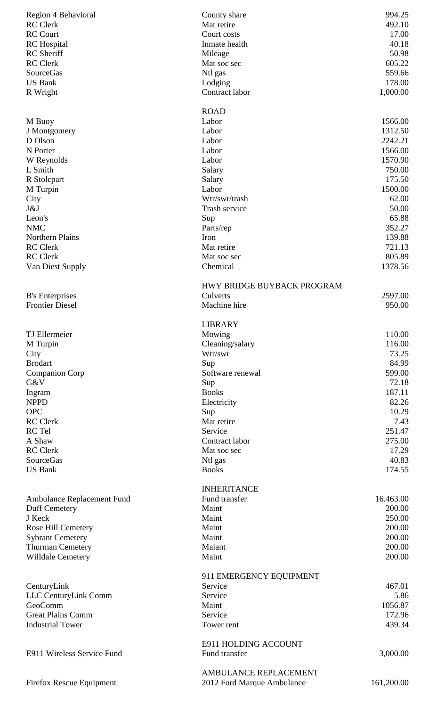| Region 4 Behavioral                               | County share               | 994.25     |
|---------------------------------------------------|----------------------------|------------|
| <b>RC</b> Clerk                                   | Mat retire                 | 492.10     |
| <b>RC Court</b>                                   | Court costs                | 17.00      |
| <b>RC</b> Hospital                                | Inmate health              | 40.18      |
| <b>RC</b> Sheriff                                 | Mileage                    | 50.98      |
| <b>RC</b> Clerk                                   | Mat soc sec                | 605.22     |
| <b>SourceGas</b>                                  | Ntl gas                    | 559.66     |
| <b>US Bank</b>                                    | Lodging                    | 178.00     |
| R Wright                                          | Contract labor             | 1,000.00   |
|                                                   | <b>ROAD</b>                |            |
| M Buoy                                            | Labor                      | 1566.00    |
| J Montgomery                                      | Labor                      | 1312.50    |
| D Olson                                           | Labor                      | 2242.21    |
| N Porter                                          | Labor                      | 1566.00    |
| W Reynolds                                        | Labor                      | 1570.90    |
| L Smith                                           | Salary                     | 750.00     |
| R Stolcpart                                       | Salary                     | 175.50     |
| M Turpin                                          | Labor                      | 1500.00    |
| City                                              | Wtr/swr/trash              | 62.00      |
| J&J                                               | Trash service              | 50.00      |
| Leon's                                            | Sup                        | 65.88      |
| <b>NMC</b>                                        | Parts/rep                  | 352.27     |
| Northern Plains                                   | Iron                       | 139.88     |
| <b>RC</b> Clerk                                   | Mat retire                 | 721.13     |
| <b>RC</b> Clerk                                   | Mat soc sec                | 805.89     |
| Van Diest Supply                                  | Chemical                   | 1378.56    |
|                                                   |                            |            |
|                                                   | HWY BRIDGE BUYBACK PROGRAM |            |
| <b>B</b> 's Enterprises<br><b>Frontier Diesel</b> | Culverts<br>Machine hire   | 2597.00    |
|                                                   |                            | 950.00     |
|                                                   | <b>LIBRARY</b>             |            |
| <b>TJ</b> Ellermeier                              | Mowing                     | 110.00     |
| M Turpin                                          | Cleaning/salary            | 116.00     |
| City                                              | Wtr/swr                    | 73.25      |
| <b>Brodart</b>                                    | Sup                        | 84.99      |
| <b>Companion Corp</b>                             | Software renewal           | 599.00     |
| G&V                                               | Sup                        | 72.18      |
| Ingram                                            | <b>Books</b>               | 187.11     |
| <b>NPPD</b>                                       | Electricity                | 82.26      |
| <b>OPC</b>                                        | Sup                        | 10.29      |
| <b>RC</b> Clerk                                   | Mat retire                 | 7.43       |
| RC Tel                                            | Service                    | 251.47     |
| A Shaw                                            | Contract labor             | 275.00     |
| <b>RC</b> Clerk                                   | Mat soc sec                | 17.29      |
| SourceGas                                         | Ntl gas                    | 40.83      |
| <b>US Bank</b>                                    | <b>Books</b>               | 174.55     |
|                                                   |                            |            |
|                                                   | <b>INHERITANCE</b>         |            |
| Ambulance Replacement Fund                        | Fund transfer              | 16.463.00  |
| Duff Cemetery                                     | Maint                      | 200.00     |
| J Keck                                            | Maint                      | 250.00     |
| Rose Hill Cemetery                                | Maint                      | 200.00     |
| <b>Sybrant Cemetery</b>                           | Maint                      | 200.00     |
| Thurman Cemetery                                  | Maiant                     | 200.00     |
| <b>Willdale Cemetery</b>                          | Maint                      | 200.00     |
|                                                   |                            |            |
|                                                   | 911 EMERGENCY EQUIPMENT    |            |
| CenturyLink                                       | Service                    | 467.01     |
| LLC CenturyLink Comm                              | Service                    | 5.86       |
| GeoComm                                           | Maint                      | 1056.87    |
| <b>Great Plains Comm</b>                          | Service                    | 172.96     |
| <b>Industrial Tower</b>                           | Tower rent                 | 439.34     |
|                                                   |                            |            |
|                                                   | E911 HOLDING ACCOUNT       |            |
| E911 Wireless Service Fund                        | Fund transfer              | 3,000.00   |
|                                                   | AMBULANCE REPLACEMENT      |            |
| <b>Firefox Rescue Equipment</b>                   | 2012 Ford Marque Ambulance | 161,200.00 |
|                                                   |                            |            |